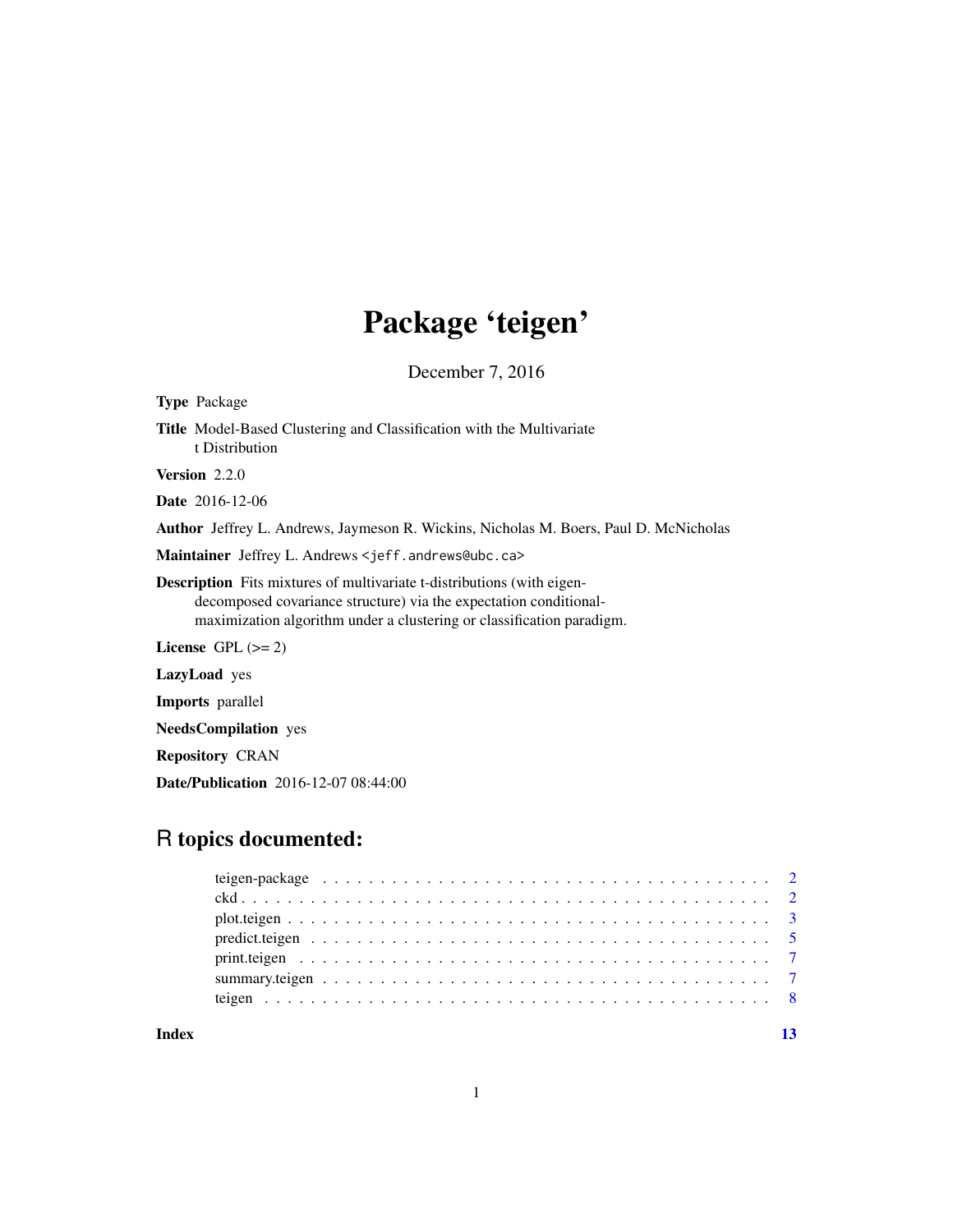# Package 'teigen'

December 7, 2016

<span id="page-0-0"></span>

| <b>Type</b> Package                                                                                                                                                                                                         |
|-----------------------------------------------------------------------------------------------------------------------------------------------------------------------------------------------------------------------------|
| <b>Title</b> Model-Based Clustering and Classification with the Multivariate<br>t Distribution                                                                                                                              |
| <b>Version</b> $2.2.0$                                                                                                                                                                                                      |
| <b>Date</b> 2016-12-06                                                                                                                                                                                                      |
| Author Jeffrey L. Andrews, Jaymeson R. Wickins, Nicholas M. Boers, Paul D. McNicholas                                                                                                                                       |
| Maintainer Jeffrey L. Andrews <jeff.andrews@ubc.ca></jeff.andrews@ubc.ca>                                                                                                                                                   |
| <b>Description</b> Fits mixtures of multivariate t-distributions (with eigen-<br>decomposed covariance structure) via the expectation conditional-<br>maximization algorithm under a clustering or classification paradigm. |
| License $GPL (= 2)$                                                                                                                                                                                                         |
| <b>LazyLoad</b> yes                                                                                                                                                                                                         |
| <b>Imports</b> parallel                                                                                                                                                                                                     |
| <b>NeedsCompilation</b> yes                                                                                                                                                                                                 |
|                                                                                                                                                                                                                             |

Repository CRAN

Date/Publication 2016-12-07 08:44:00

# R topics documented:

| Index |  |  |  | 13 |
|-------|--|--|--|----|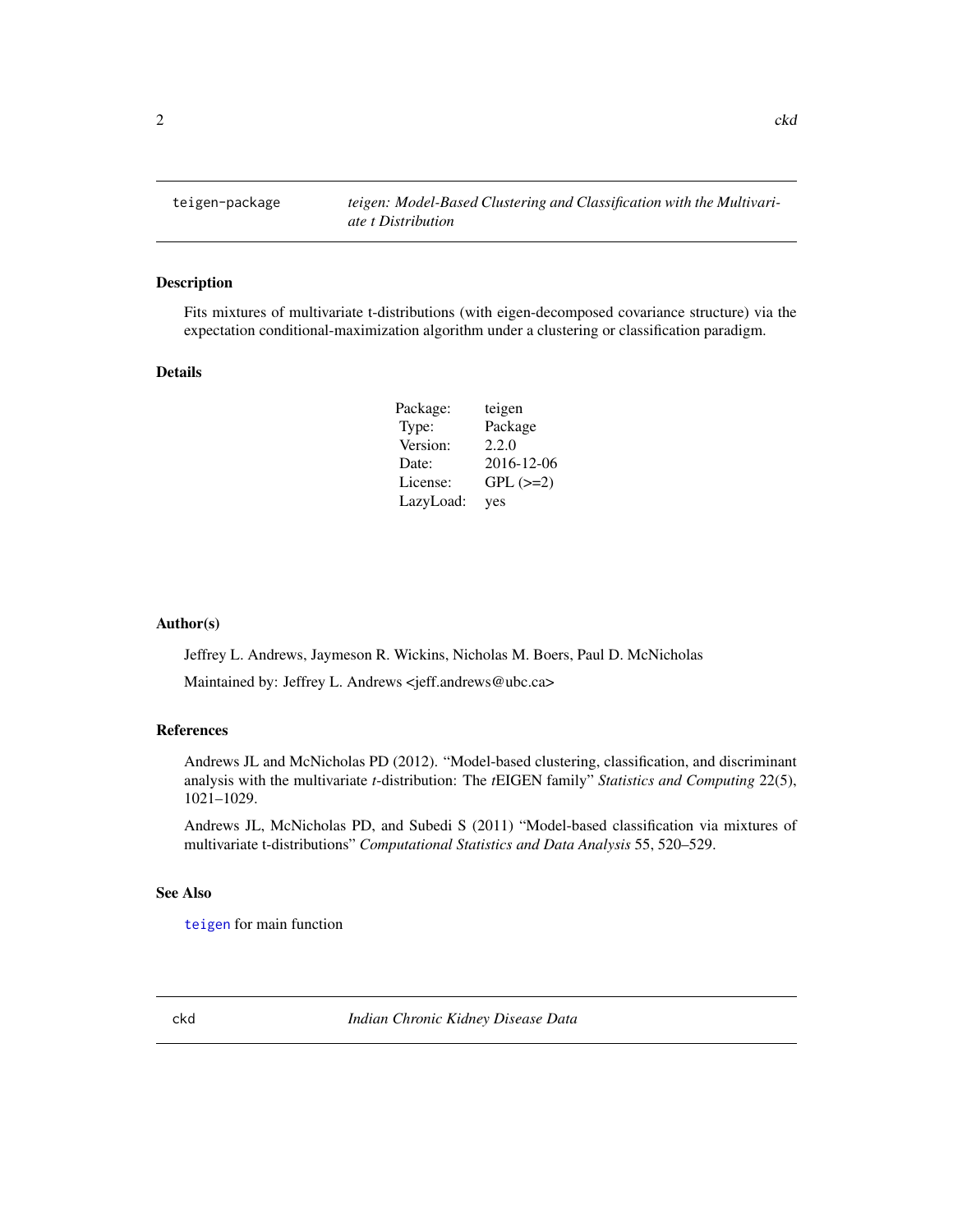<span id="page-1-0"></span>

# <span id="page-1-1"></span>Description

Fits mixtures of multivariate t-distributions (with eigen-decomposed covariance structure) via the expectation conditional-maximization algorithm under a clustering or classification paradigm.

# Details

| Package:  | teigen        |
|-----------|---------------|
| Type:     | Package       |
| Version:  | 2.2.0         |
| Date:     | 2016-12-06    |
| License:  | $GPL$ $(>=2)$ |
| LazyLoad: | yes           |

#### Author(s)

Jeffrey L. Andrews, Jaymeson R. Wickins, Nicholas M. Boers, Paul D. McNicholas

Maintained by: Jeffrey L. Andrews <jeff.andrews@ubc.ca>

#### References

Andrews JL and McNicholas PD (2012). "Model-based clustering, classification, and discriminant analysis with the multivariate *t*-distribution: The *t*EIGEN family" *Statistics and Computing* 22(5), 1021–1029.

Andrews JL, McNicholas PD, and Subedi S (2011) "Model-based classification via mixtures of multivariate t-distributions" *Computational Statistics and Data Analysis* 55, 520–529.

# See Also

[teigen](#page-7-1) for main function

ckd *Indian Chronic Kidney Disease Data*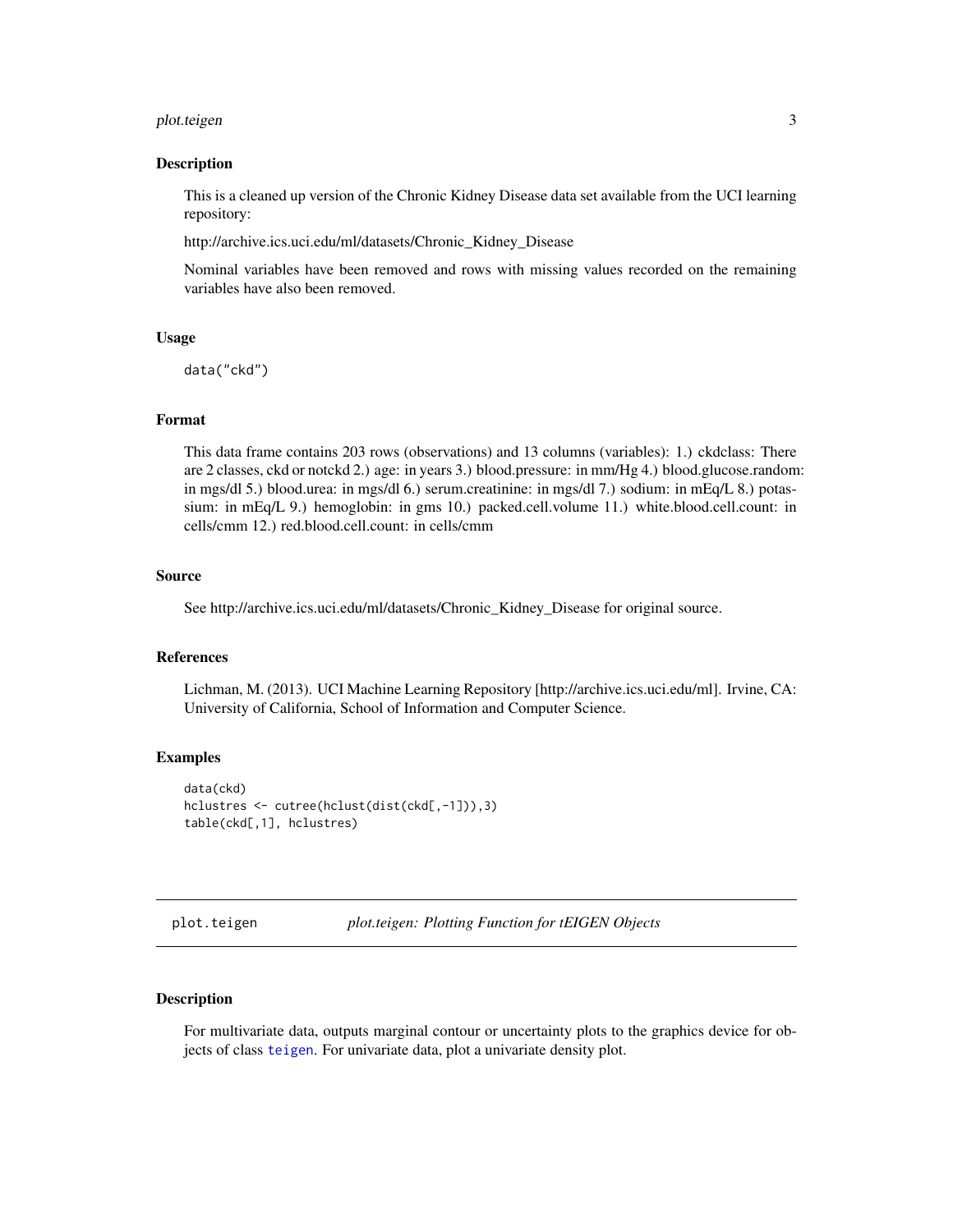# <span id="page-2-0"></span>plot.teigen 3

#### Description

This is a cleaned up version of the Chronic Kidney Disease data set available from the UCI learning repository:

http://archive.ics.uci.edu/ml/datasets/Chronic\_Kidney\_Disease

Nominal variables have been removed and rows with missing values recorded on the remaining variables have also been removed.

### Usage

data("ckd")

# Format

This data frame contains 203 rows (observations) and 13 columns (variables): 1.) ckdclass: There are 2 classes, ckd or notckd 2.) age: in years 3.) blood.pressure: in mm/Hg 4.) blood.glucose.random: in mgs/dl 5.) blood.urea: in mgs/dl 6.) serum.creatinine: in mgs/dl 7.) sodium: in mEq/L 8.) potassium: in mEq/L 9.) hemoglobin: in gms 10.) packed.cell.volume 11.) white.blood.cell.count: in cells/cmm 12.) red.blood.cell.count: in cells/cmm

### Source

See http://archive.ics.uci.edu/ml/datasets/Chronic\_Kidney\_Disease for original source.

# References

Lichman, M. (2013). UCI Machine Learning Repository [http://archive.ics.uci.edu/ml]. Irvine, CA: University of California, School of Information and Computer Science.

#### Examples

```
data(ckd)
hclustres <- cutree(hclust(dist(ckd[,-1])),3)
table(ckd[,1], hclustres)
```
plot.teigen *plot.teigen: Plotting Function for tEIGEN Objects*

# **Description**

For multivariate data, outputs marginal contour or uncertainty plots to the graphics device for objects of class [teigen](#page-7-1). For univariate data, plot a univariate density plot.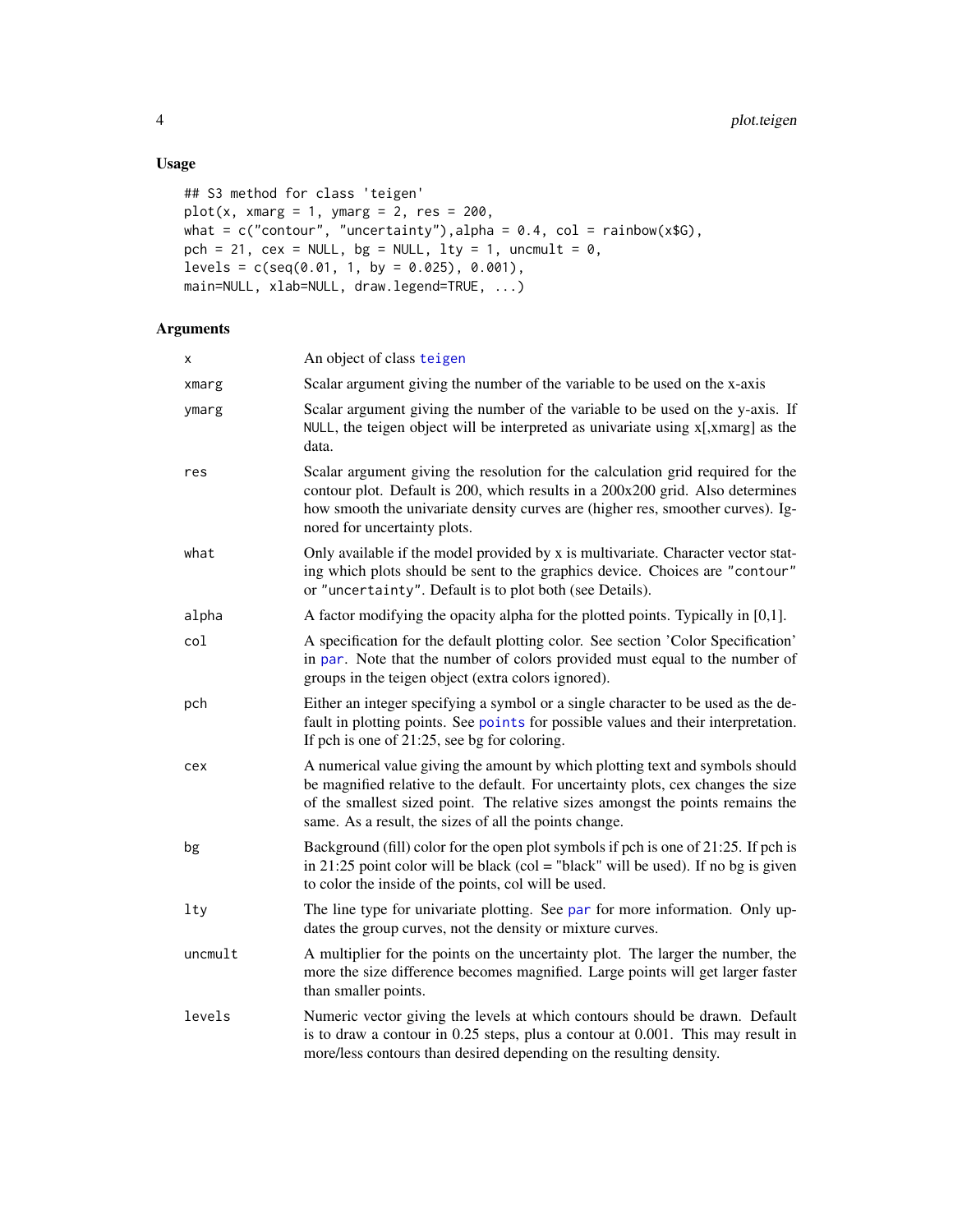# Usage

```
## S3 method for class 'teigen'
plot(x, xmarg = 1, ymarg = 2, res = 200,what = c("contour", "uncertainty"), alpha = 0.4, col = rainbow(x$G),pch = 21, cex = NULL, bg = NULL, lty = 1, uncmult = \theta,
levels = c(seq(0.01, 1, by = 0.025), 0.001),main=NULL, xlab=NULL, draw.legend=TRUE, ...)
```
# Arguments

| X       | An object of class teigen                                                                                                                                                                                                                                                                                      |
|---------|----------------------------------------------------------------------------------------------------------------------------------------------------------------------------------------------------------------------------------------------------------------------------------------------------------------|
| xmarg   | Scalar argument giving the number of the variable to be used on the x-axis                                                                                                                                                                                                                                     |
| ymarg   | Scalar argument giving the number of the variable to be used on the y-axis. If<br>NULL, the teigen object will be interpreted as univariate using x[,xmarg] as the<br>data.                                                                                                                                    |
| res     | Scalar argument giving the resolution for the calculation grid required for the<br>contour plot. Default is 200, which results in a 200x200 grid. Also determines<br>how smooth the univariate density curves are (higher res, smoother curves). Ig-<br>nored for uncertainty plots.                           |
| what    | Only available if the model provided by x is multivariate. Character vector stat-<br>ing which plots should be sent to the graphics device. Choices are "contour"<br>or "uncertainty". Default is to plot both (see Details).                                                                                  |
| alpha   | A factor modifying the opacity alpha for the plotted points. Typically in [0,1].                                                                                                                                                                                                                               |
| col     | A specification for the default plotting color. See section 'Color Specification'<br>in par. Note that the number of colors provided must equal to the number of<br>groups in the teigen object (extra colors ignored).                                                                                        |
| pch     | Either an integer specifying a symbol or a single character to be used as the de-<br>fault in plotting points. See points for possible values and their interpretation.<br>If pch is one of 21:25, see bg for coloring.                                                                                        |
| cex     | A numerical value giving the amount by which plotting text and symbols should<br>be magnified relative to the default. For uncertainty plots, cex changes the size<br>of the smallest sized point. The relative sizes amongst the points remains the<br>same. As a result, the sizes of all the points change. |
| bg      | Background (fill) color for the open plot symbols if pch is one of 21:25. If pch is<br>in 21:25 point color will be black (col = "black" will be used). If no bg is given<br>to color the inside of the points, col will be used.                                                                              |
| lty     | The line type for univariate plotting. See par for more information. Only up-<br>dates the group curves, not the density or mixture curves.                                                                                                                                                                    |
| uncmult | A multiplier for the points on the uncertainty plot. The larger the number, the<br>more the size difference becomes magnified. Large points will get larger faster<br>than smaller points.                                                                                                                     |
| levels  | Numeric vector giving the levels at which contours should be drawn. Default<br>is to draw a contour in 0.25 steps, plus a contour at 0.001. This may result in<br>more/less contours than desired depending on the resulting density.                                                                          |

<span id="page-3-0"></span>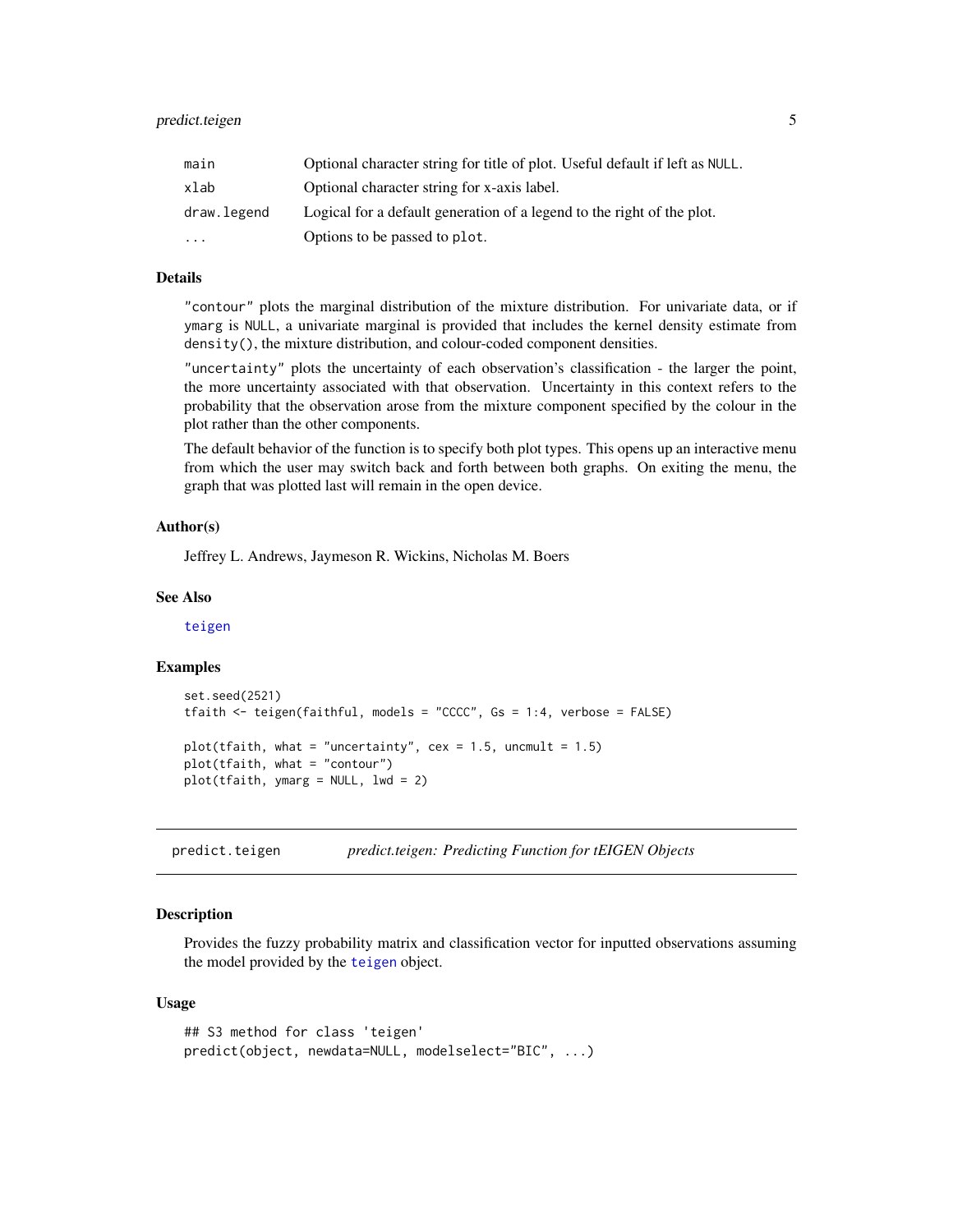<span id="page-4-0"></span>

| main        | Optional character string for title of plot. Useful default if left as NULL. |
|-------------|------------------------------------------------------------------------------|
| xlab        | Optional character string for x-axis label.                                  |
| draw.legend | Logical for a default generation of a legend to the right of the plot.       |
| $\ddotsc$   | Options to be passed to plot.                                                |

# Details

"contour" plots the marginal distribution of the mixture distribution. For univariate data, or if ymarg is NULL, a univariate marginal is provided that includes the kernel density estimate from density(), the mixture distribution, and colour-coded component densities.

"uncertainty" plots the uncertainty of each observation's classification - the larger the point, the more uncertainty associated with that observation. Uncertainty in this context refers to the probability that the observation arose from the mixture component specified by the colour in the plot rather than the other components.

The default behavior of the function is to specify both plot types. This opens up an interactive menu from which the user may switch back and forth between both graphs. On exiting the menu, the graph that was plotted last will remain in the open device.

# Author(s)

Jeffrey L. Andrews, Jaymeson R. Wickins, Nicholas M. Boers

#### See Also

[teigen](#page-7-1)

# Examples

```
set.seed(2521)
tfaith <- teigen(faithful, models = "CCCC", Gs = 1:4, verbose = FALSE)
plot(tfaith, what = "uncertainty", cex = 1.5, uncmult = 1.5)
plot(tfaith, what = "contour")
plot(tfaith, ymarg = NULL, lwd = 2)
```
predict.teigen *predict.teigen: Predicting Function for tEIGEN Objects*

# Description

Provides the fuzzy probability matrix and classification vector for inputted observations assuming the model provided by the [teigen](#page-7-1) object.

#### Usage

```
## S3 method for class 'teigen'
predict(object, newdata=NULL, modelselect="BIC", ...)
```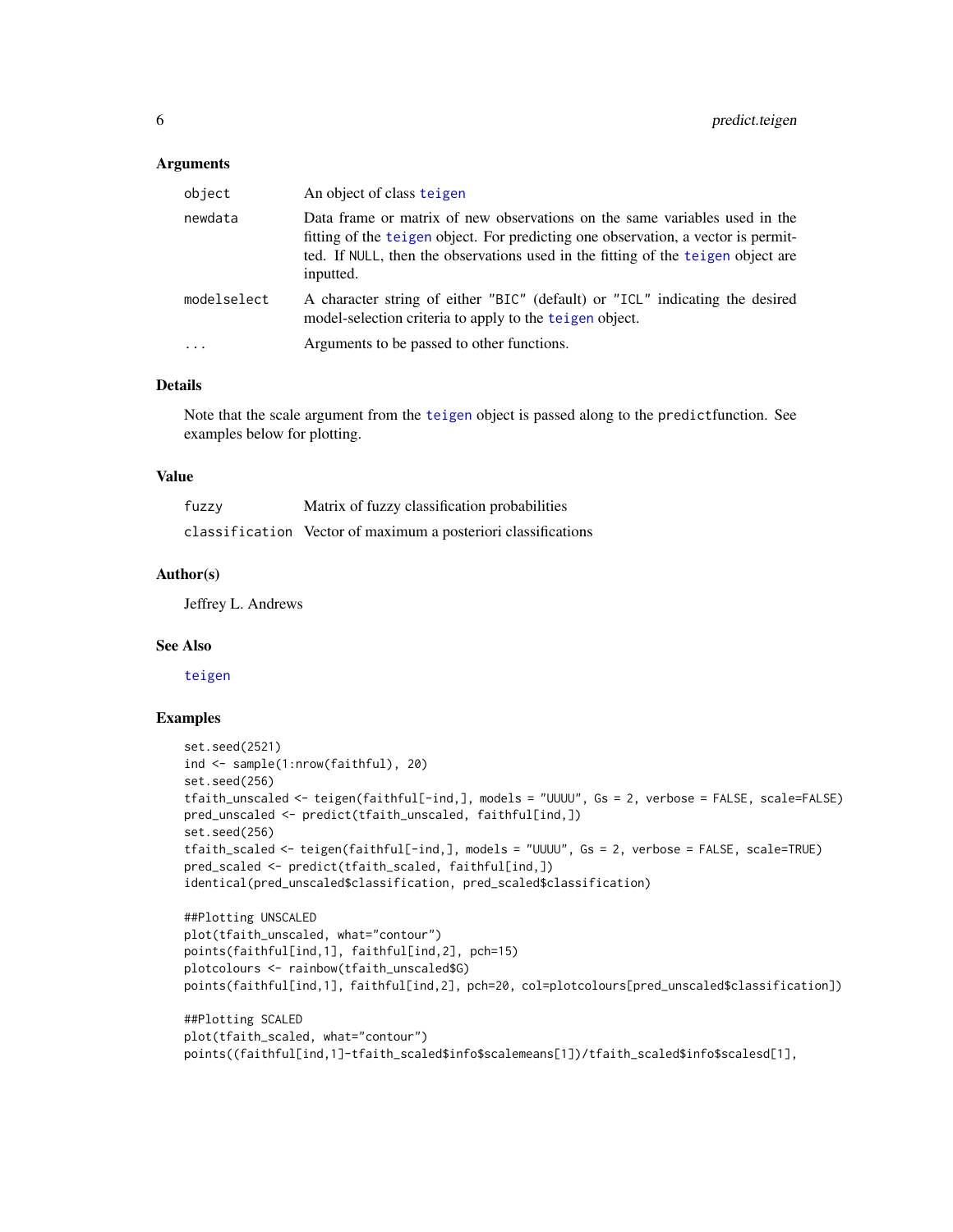#### **Arguments**

| object      | An object of class teigen                                                                                                                                                                                                                                        |
|-------------|------------------------------------------------------------------------------------------------------------------------------------------------------------------------------------------------------------------------------------------------------------------|
| newdata     | Data frame or matrix of new observations on the same variables used in the<br>fitting of the teigen object. For predicting one observation, a vector is permit-<br>ted. If NULL, then the observations used in the fitting of the teigen object are<br>inputted. |
| modelselect | A character string of either "BIC" (default) or "ICL" indicating the desired<br>model-selection criteria to apply to the teigen object.                                                                                                                          |
| $\cdots$    | Arguments to be passed to other functions.                                                                                                                                                                                                                       |

#### Details

Note that the scale argument from the [teigen](#page-7-1) object is passed along to the predictfunction. See examples below for plotting.

#### Value

| fuzzy | Matrix of fuzzy classification probabilities                  |
|-------|---------------------------------------------------------------|
|       | classification Vector of maximum a posteriori classifications |

# Author(s)

Jeffrey L. Andrews

#### See Also

[teigen](#page-7-1)

# Examples

```
set.seed(2521)
ind <- sample(1:nrow(faithful), 20)
set.seed(256)
tfaith_unscaled <- teigen(faithful[-ind,], models = "UUUU", Gs = 2, verbose = FALSE, scale=FALSE)
pred_unscaled <- predict(tfaith_unscaled, faithful[ind,])
set.seed(256)
tfaith_scaled <- teigen(faithful[-ind,], models = "UUUU", Gs = 2, verbose = FALSE, scale=TRUE)
pred_scaled <- predict(tfaith_scaled, faithful[ind,])
identical(pred_unscaled$classification, pred_scaled$classification)
```

```
##Plotting UNSCALED
plot(tfaith_unscaled, what="contour")
points(faithful[ind,1], faithful[ind,2], pch=15)
plotcolours <- rainbow(tfaith_unscaled$G)
points(faithful[ind,1], faithful[ind,2], pch=20, col=plotcolours[pred_unscaled$classification])
```

```
##Plotting SCALED
plot(tfaith_scaled, what="contour")
points((faithful[ind,1]-tfaith_scaled$info$scalemeans[1])/tfaith_scaled$info$scalesd[1],
```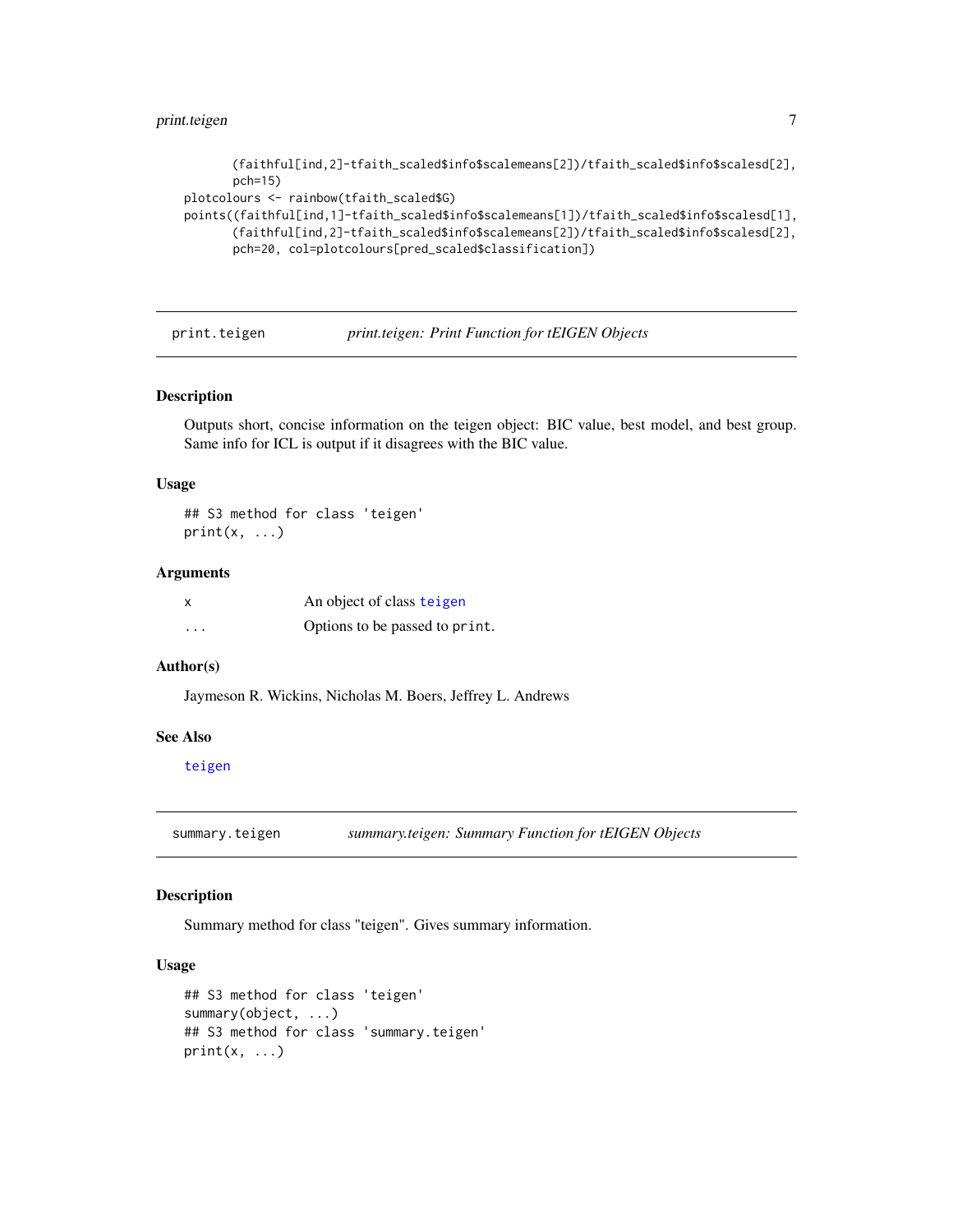# <span id="page-6-0"></span>print.teigen 7

```
(faithful[ind,2]-tfaith_scaled$info$scalemeans[2])/tfaith_scaled$info$scalesd[2],
      pch=15)
plotcolours <- rainbow(tfaith_scaled$G)
points((faithful[ind,1]-tfaith_scaled$info$scalemeans[1])/tfaith_scaled$info$scalesd[1],
      (faithful[ind,2]-tfaith_scaled$info$scalemeans[2])/tfaith_scaled$info$scalesd[2],
      pch=20, col=plotcolours[pred_scaled$classification])
```
print.teigen *print.teigen: Print Function for tEIGEN Objects*

#### Description

Outputs short, concise information on the teigen object: BIC value, best model, and best group. Same info for ICL is output if it disagrees with the BIC value.

#### Usage

## S3 method for class 'teigen'  $print(x, \ldots)$ 

# Arguments

|          | An object of class teigen      |
|----------|--------------------------------|
| $\cdots$ | Options to be passed to print. |

# Author(s)

Jaymeson R. Wickins, Nicholas M. Boers, Jeffrey L. Andrews

# See Also

[teigen](#page-7-1)

summary.teigen *summary.teigen: Summary Function for tEIGEN Objects*

#### Description

Summary method for class "teigen". Gives summary information.

# Usage

```
## S3 method for class 'teigen'
summary(object, ...)
## S3 method for class 'summary.teigen'
print(x, \ldots)
```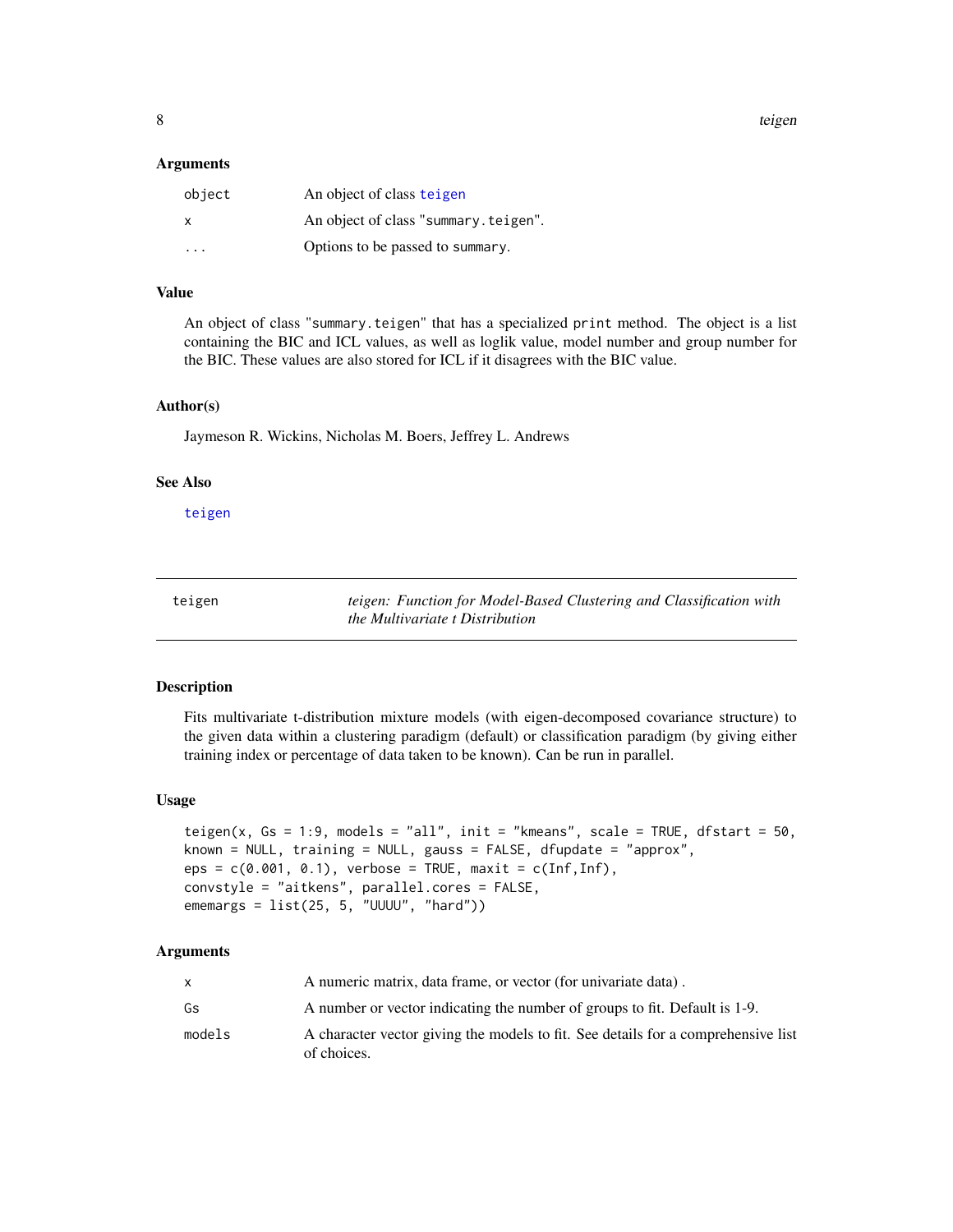<span id="page-7-0"></span>8 teigen in de staat de sterken in de sterken in de sterken in de sterken in de sterken in de sterken in de st

#### Arguments

| object | An object of class teigen            |
|--------|--------------------------------------|
| X      | An object of class "summary.teigen". |
| .      | Options to be passed to summary.     |

# Value

An object of class "summary.teigen" that has a specialized print method. The object is a list containing the BIC and ICL values, as well as loglik value, model number and group number for the BIC. These values are also stored for ICL if it disagrees with the BIC value.

## Author(s)

Jaymeson R. Wickins, Nicholas M. Boers, Jeffrey L. Andrews

#### See Also

[teigen](#page-7-1)

<span id="page-7-1"></span>teigen *teigen: Function for Model-Based Clustering and Classification with the Multivariate t Distribution*

#### Description

Fits multivariate t-distribution mixture models (with eigen-decomposed covariance structure) to the given data within a clustering paradigm (default) or classification paradigm (by giving either training index or percentage of data taken to be known). Can be run in parallel.

#### Usage

```
teigen(x, Gs = 1:9, models = "all", init = "kmeans", scale = TRUE, dfstart = 50,
known = NULL, training = NULL, gauss = FALSE, dfupdate = "approx",
eps = c(0.001, 0.1), verbose = TRUE, maxit = c(Inf, Inf),convstyle = "aitkens", parallel.cores = FALSE,
ememargs = list(25, 5, "UUUU", "hard"))
```
# Arguments

|        | A numeric matrix, data frame, or vector (for univariate data).                                   |
|--------|--------------------------------------------------------------------------------------------------|
| Gs     | A number or vector indicating the number of groups to fit. Default is 1-9.                       |
| models | A character vector giving the models to fit. See details for a comprehensive list<br>of choices. |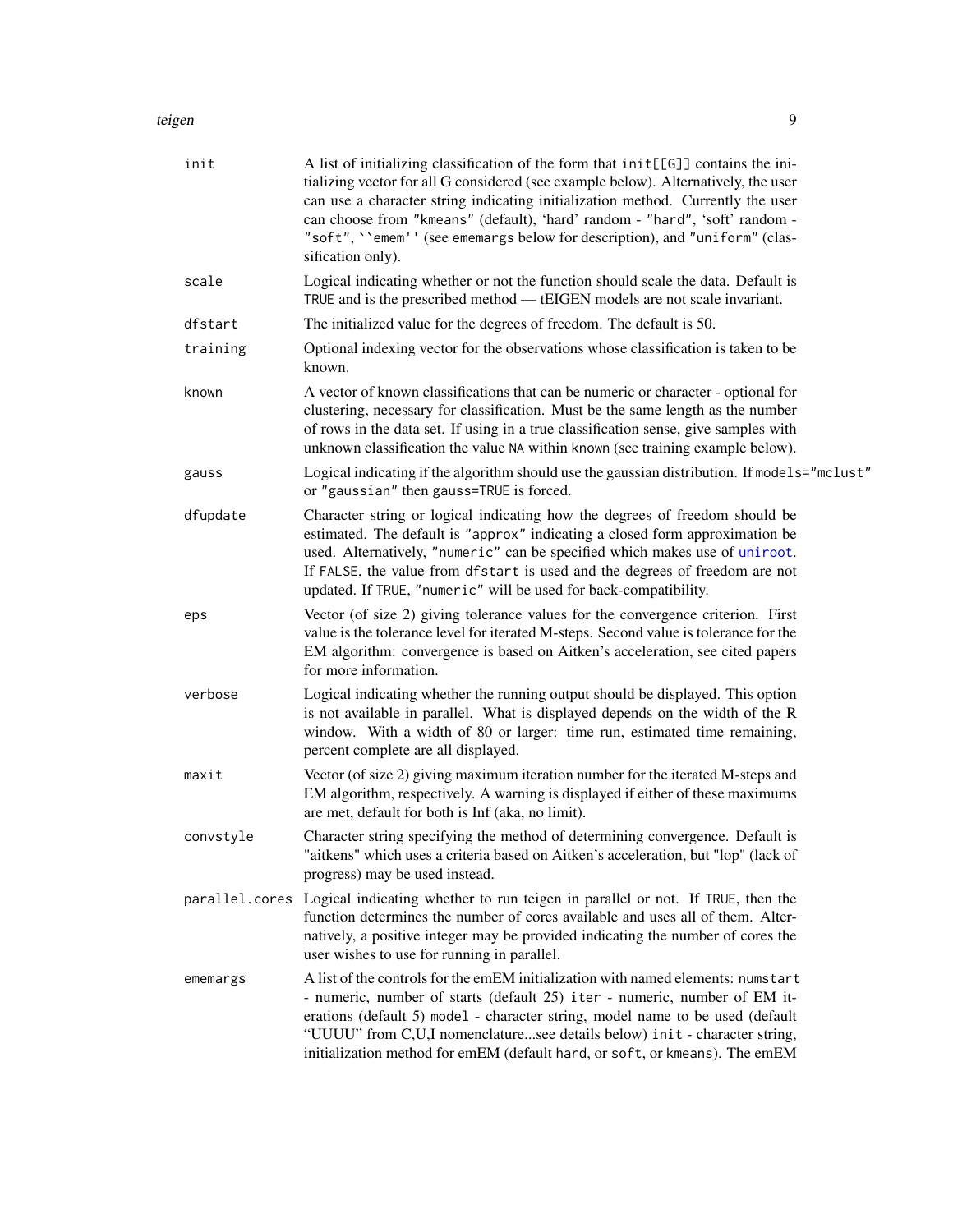#### <span id="page-8-0"></span>teigen 1986 besteht in der Statistischen Statistischen Statistischen Statistischen Statistischen Statistischen

| init      | A list of initializing classification of the form that init[[G]] contains the ini-<br>tializing vector for all G considered (see example below). Alternatively, the user<br>can use a character string indicating initialization method. Currently the user<br>can choose from "kmeans" (default), 'hard' random - "hard", 'soft' random -<br>"soft", "emem'' (see ememargs below for description), and "uniform" (clas-<br>sification only). |
|-----------|-----------------------------------------------------------------------------------------------------------------------------------------------------------------------------------------------------------------------------------------------------------------------------------------------------------------------------------------------------------------------------------------------------------------------------------------------|
| scale     | Logical indicating whether or not the function should scale the data. Default is<br>TRUE and is the prescribed method — tEIGEN models are not scale invariant.                                                                                                                                                                                                                                                                                |
| dfstart   | The initialized value for the degrees of freedom. The default is 50.                                                                                                                                                                                                                                                                                                                                                                          |
| training  | Optional indexing vector for the observations whose classification is taken to be<br>known.                                                                                                                                                                                                                                                                                                                                                   |
| known     | A vector of known classifications that can be numeric or character - optional for<br>clustering, necessary for classification. Must be the same length as the number<br>of rows in the data set. If using in a true classification sense, give samples with<br>unknown classification the value NA within known (see training example below).                                                                                                 |
| gauss     | Logical indicating if the algorithm should use the gaussian distribution. If models="mclust"<br>or "gaussian" then gauss=TRUE is forced.                                                                                                                                                                                                                                                                                                      |
| dfupdate  | Character string or logical indicating how the degrees of freedom should be<br>estimated. The default is "approx" indicating a closed form approximation be<br>used. Alternatively, "numeric" can be specified which makes use of uniroot.<br>If FALSE, the value from dfstart is used and the degrees of freedom are not<br>updated. If TRUE, "numeric" will be used for back-compatibility.                                                 |
| eps       | Vector (of size 2) giving tolerance values for the convergence criterion. First<br>value is the tolerance level for iterated M-steps. Second value is tolerance for the<br>EM algorithm: convergence is based on Aitken's acceleration, see cited papers<br>for more information.                                                                                                                                                             |
| verbose   | Logical indicating whether the running output should be displayed. This option<br>is not available in parallel. What is displayed depends on the width of the R<br>window. With a width of 80 or larger: time run, estimated time remaining,<br>percent complete are all displayed.                                                                                                                                                           |
| maxit     | Vector (of size 2) giving maximum iteration number for the iterated M-steps and<br>EM algorithm, respectively. A warning is displayed if either of these maximums<br>are met, default for both is Inf (aka, no limit).                                                                                                                                                                                                                        |
| convstyle | Character string specifying the method of determining convergence. Default is<br>"aitkens" which uses a criteria based on Aitken's acceleration, but "lop" (lack of<br>progress) may be used instead.                                                                                                                                                                                                                                         |
|           | parallel.cores Logical indicating whether to run teigen in parallel or not. If TRUE, then the<br>function determines the number of cores available and uses all of them. Alter-<br>natively, a positive integer may be provided indicating the number of cores the<br>user wishes to use for running in parallel.                                                                                                                             |
| ememargs  | A list of the controls for the emEM initialization with named elements: numstart<br>- numeric, number of starts (default 25) iter - numeric, number of EM it-<br>erations (default 5) model - character string, model name to be used (default<br>"UUUU" from C,U,I nomenclaturesee details below) init - character string,<br>initialization method for emEM (default hard, or soft, or kmeans). The emEM                                    |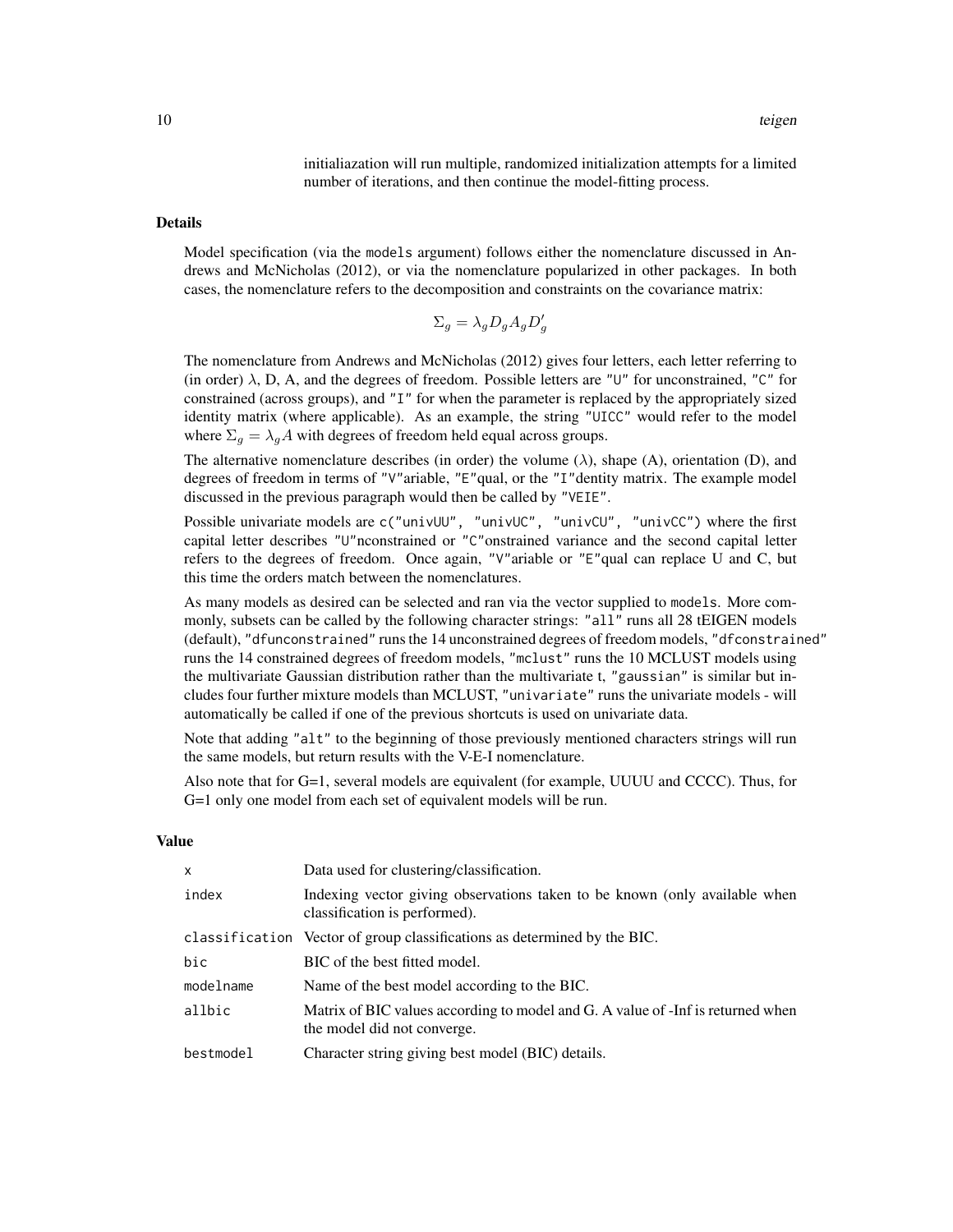initialiazation will run multiple, randomized initialization attempts for a limited number of iterations, and then continue the model-fitting process.

# Details

Model specification (via the models argument) follows either the nomenclature discussed in Andrews and McNicholas (2012), or via the nomenclature popularized in other packages. In both cases, the nomenclature refers to the decomposition and constraints on the covariance matrix:

$$
\Sigma_g = \lambda_g D_g A_g D'_g
$$

The nomenclature from Andrews and McNicholas (2012) gives four letters, each letter referring to (in order)  $\lambda$ , D, A, and the degrees of freedom. Possible letters are "U" for unconstrained, "C" for constrained (across groups), and "I" for when the parameter is replaced by the appropriately sized identity matrix (where applicable). As an example, the string "UICC" would refer to the model where  $\Sigma_g = \lambda_g A$  with degrees of freedom held equal across groups.

The alternative nomenclature describes (in order) the volume  $(\lambda)$ , shape  $(A)$ , orientation  $(D)$ , and degrees of freedom in terms of "V"ariable, "E"qual, or the "I"dentity matrix. The example model discussed in the previous paragraph would then be called by "VEIE".

Possible univariate models are c("univUU", "univUC", "univCU", "univCC") where the first capital letter describes "U"nconstrained or "C"onstrained variance and the second capital letter refers to the degrees of freedom. Once again, "V"ariable or "E"qual can replace U and C, but this time the orders match between the nomenclatures.

As many models as desired can be selected and ran via the vector supplied to models. More commonly, subsets can be called by the following character strings: "all" runs all 28 tEIGEN models (default), "dfunconstrained" runs the 14 unconstrained degrees of freedom models, "dfconstrained" runs the 14 constrained degrees of freedom models, "mclust" runs the 10 MCLUST models using the multivariate Gaussian distribution rather than the multivariate t, "gaussian" is similar but includes four further mixture models than MCLUST, "univariate" runs the univariate models - will automatically be called if one of the previous shortcuts is used on univariate data.

Note that adding "alt" to the beginning of those previously mentioned characters strings will run the same models, but return results with the V-E-I nomenclature.

Also note that for G=1, several models are equivalent (for example, UUUU and CCCC). Thus, for G=1 only one model from each set of equivalent models will be run.

#### Value

| $\mathsf{x}$ | Data used for clustering/classification.                                                                       |
|--------------|----------------------------------------------------------------------------------------------------------------|
| index        | Indexing vector giving observations taken to be known (only available when<br>classification is performed).    |
|              | classification Vector of group classifications as determined by the BIC.                                       |
| bic          | BIC of the best fitted model.                                                                                  |
| modelname    | Name of the best model according to the BIC.                                                                   |
| allbic       | Matrix of BIC values according to model and G. A value of -Inf is returned when<br>the model did not converge. |
| bestmodel    | Character string giving best model (BIC) details.                                                              |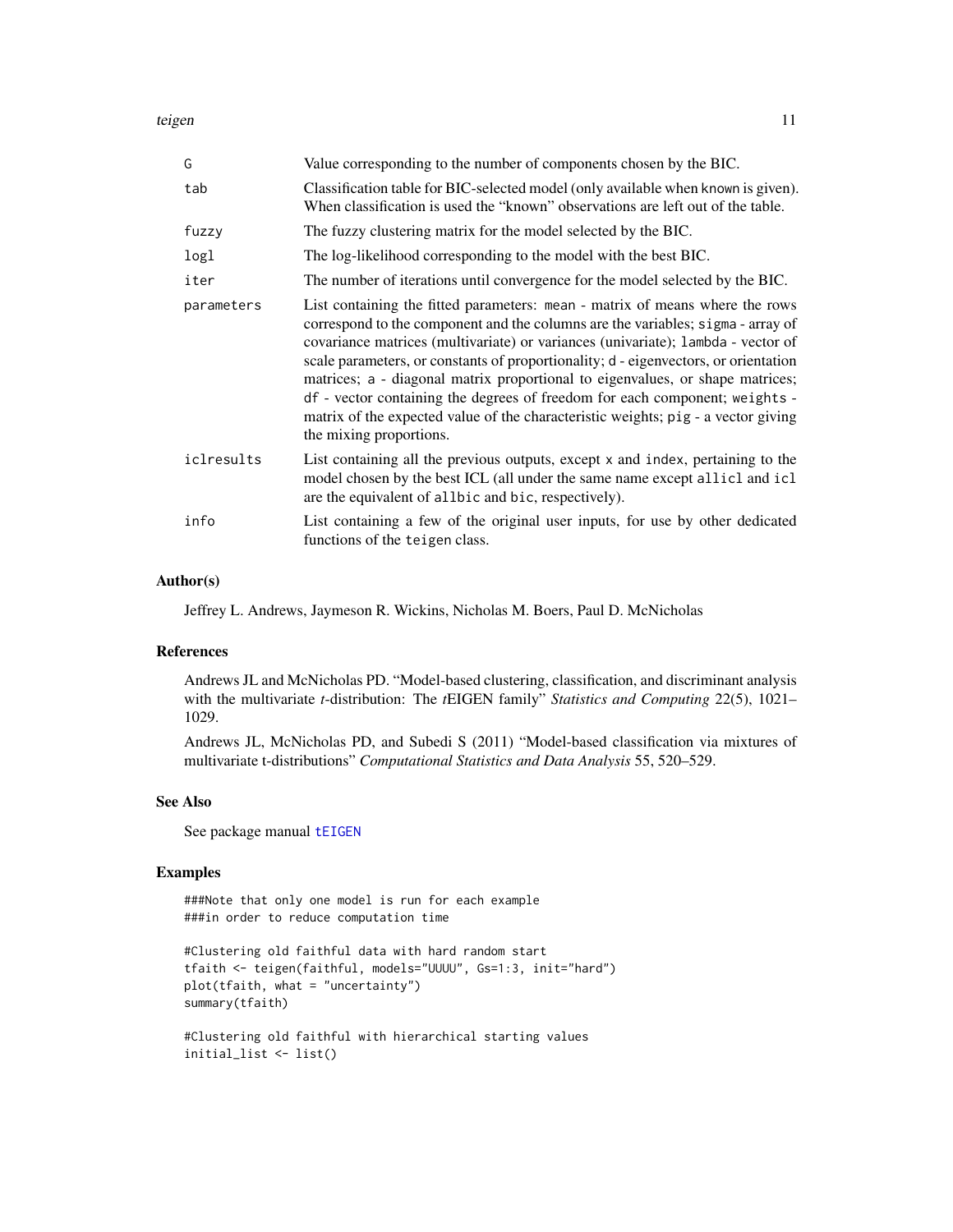<span id="page-10-0"></span>teigen auch der Stadt der Stadt der Stadt der Stadt der Stadt der Stadt der Stadt der Stadt der Stadt der Stadt

| G          | Value corresponding to the number of components chosen by the BIC.                                                                                                                                                                                                                                                                                                                                                                                                                                                                                                                                                         |
|------------|----------------------------------------------------------------------------------------------------------------------------------------------------------------------------------------------------------------------------------------------------------------------------------------------------------------------------------------------------------------------------------------------------------------------------------------------------------------------------------------------------------------------------------------------------------------------------------------------------------------------------|
| tab        | Classification table for BIC-selected model (only available when known is given).<br>When classification is used the "known" observations are left out of the table.                                                                                                                                                                                                                                                                                                                                                                                                                                                       |
| fuzzy      | The fuzzy clustering matrix for the model selected by the BIC.                                                                                                                                                                                                                                                                                                                                                                                                                                                                                                                                                             |
| logl       | The log-likelihood corresponding to the model with the best BIC.                                                                                                                                                                                                                                                                                                                                                                                                                                                                                                                                                           |
| iter       | The number of iterations until convergence for the model selected by the BIC.                                                                                                                                                                                                                                                                                                                                                                                                                                                                                                                                              |
| parameters | List containing the fitted parameters: mean - matrix of means where the rows<br>correspond to the component and the columns are the variables; sigma - array of<br>covariance matrices (multivariate) or variances (univariate); lambda - vector of<br>scale parameters, or constants of proportionality; d - eigenvectors, or orientation<br>matrices; a - diagonal matrix proportional to eigenvalues, or shape matrices;<br>df - vector containing the degrees of freedom for each component; weights -<br>matrix of the expected value of the characteristic weights; pig - a vector giving<br>the mixing proportions. |
| iclresults | List containing all the previous outputs, except x and index, pertaining to the<br>model chosen by the best ICL (all under the same name except allicl and icl<br>are the equivalent of allbic and bic, respectively).                                                                                                                                                                                                                                                                                                                                                                                                     |
| info       | List containing a few of the original user inputs, for use by other dedicated<br>functions of the teigen class.                                                                                                                                                                                                                                                                                                                                                                                                                                                                                                            |

# Author(s)

Jeffrey L. Andrews, Jaymeson R. Wickins, Nicholas M. Boers, Paul D. McNicholas

# References

Andrews JL and McNicholas PD. "Model-based clustering, classification, and discriminant analysis with the multivariate *t*-distribution: The *t*EIGEN family" *Statistics and Computing* 22(5), 1021– 1029.

Andrews JL, McNicholas PD, and Subedi S (2011) "Model-based classification via mixtures of multivariate t-distributions" *Computational Statistics and Data Analysis* 55, 520–529.

# See Also

See package manual [tEIGEN](#page-1-1)

### Examples

###Note that only one model is run for each example ###in order to reduce computation time

```
#Clustering old faithful data with hard random start
tfaith <- teigen(faithful, models="UUUU", Gs=1:3, init="hard")
plot(tfaith, what = "uncertainty")
summary(tfaith)
```
#Clustering old faithful with hierarchical starting values initial\_list <- list()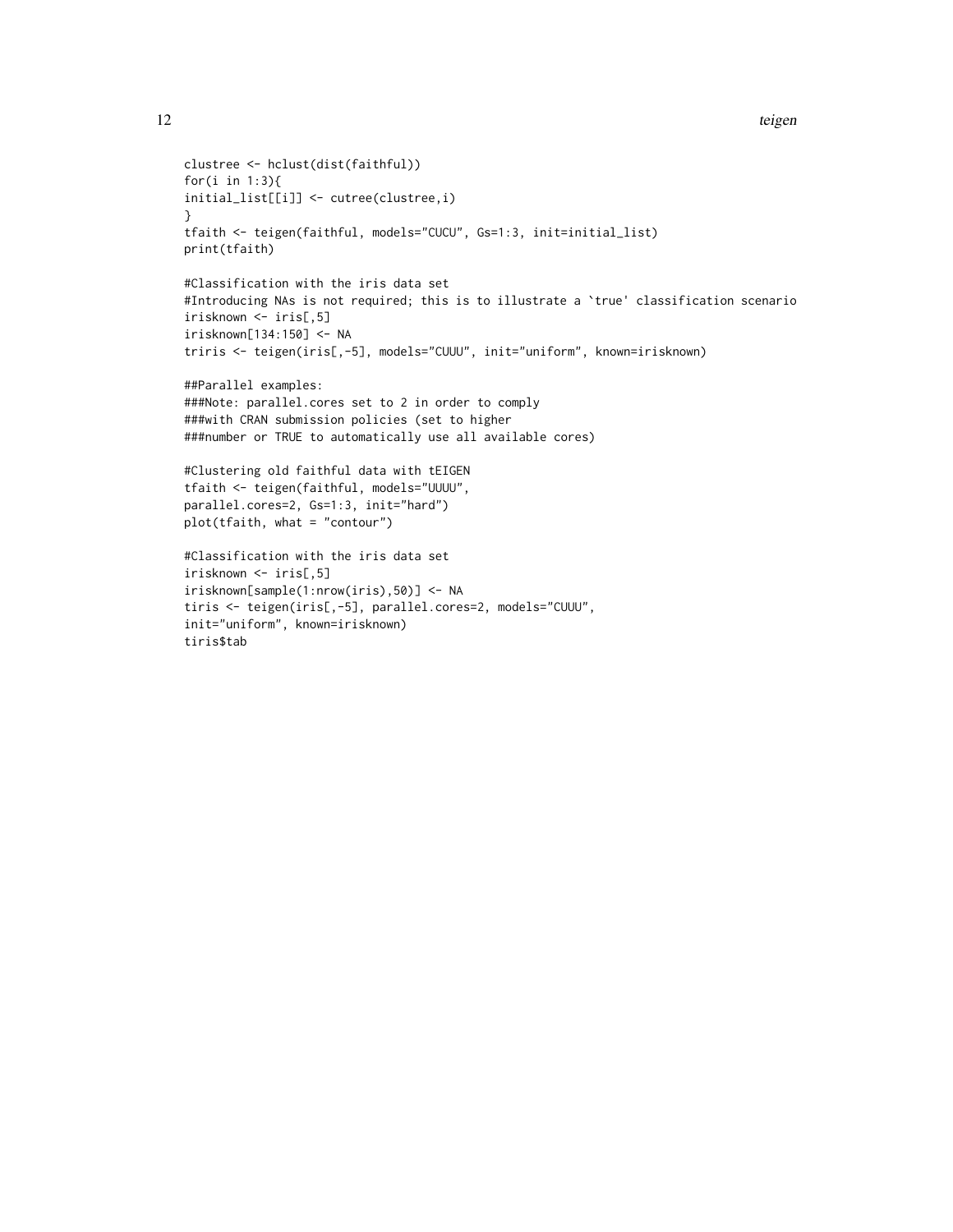```
12 teigen and the set of the set of the set of the set of the set of the set of the set of the set of the set of the set of the set of the set of the set of the set of the set of the set of the set of the set of the set of
```

```
clustree <- hclust(dist(faithful))
for(i in 1:3){
initial_list[[i]] <- cutree(clustree,i)
}
tfaith <- teigen(faithful, models="CUCU", Gs=1:3, init=initial_list)
print(tfaith)
#Classification with the iris data set
#Introducing NAs is not required; this is to illustrate a `true' classification scenario
irisknown <- iris[,5]
irisknown[134:150] <- NA
triris <- teigen(iris[,-5], models="CUUU", init="uniform", known=irisknown)
##Parallel examples:
###Note: parallel.cores set to 2 in order to comply
###with CRAN submission policies (set to higher
###number or TRUE to automatically use all available cores)
#Clustering old faithful data with tEIGEN
tfaith <- teigen(faithful, models="UUUU",
parallel.cores=2, Gs=1:3, init="hard")
plot(tfaith, what = "contour")
#Classification with the iris data set
irisknown <- iris[,5]
irisknown[sample(1:nrow(iris),50)] <- NA
tiris <- teigen(iris[,-5], parallel.cores=2, models="CUUU",
init="uniform", known=irisknown)
```

```
tiris$tab
```